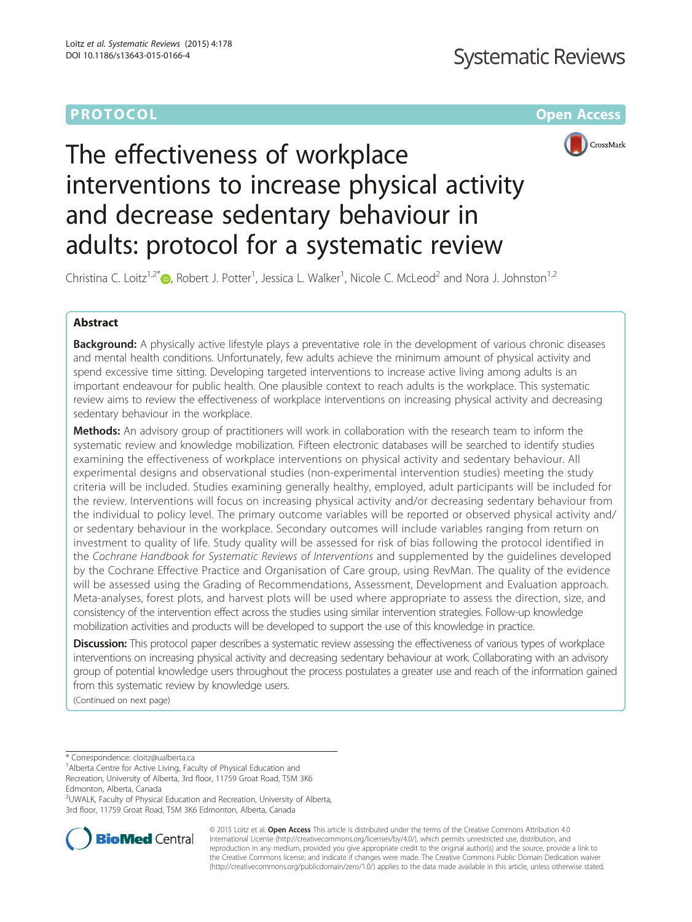# **PROTOCOL CONSUMING ACCESS CONSUMING ACCESS**



# The effectiveness of workplace interventions to increase physical activity and decrease sedentary behaviour in adults: protocol for a systematic review

Christina C. Loitz<sup>1,2[\\*](http://orcid.org/0000-0003-1395-3292)</sup> (@, Robert J. Potter<sup>1</sup>, Jessica L. Walker<sup>1</sup>, Nicole C. McLeod<sup>2</sup> and Nora J. Johnston<sup>1,2</sup>

## Abstract

Background: A physically active lifestyle plays a preventative role in the development of various chronic diseases and mental health conditions. Unfortunately, few adults achieve the minimum amount of physical activity and spend excessive time sitting. Developing targeted interventions to increase active living among adults is an important endeavour for public health. One plausible context to reach adults is the workplace. This systematic review aims to review the effectiveness of workplace interventions on increasing physical activity and decreasing sedentary behaviour in the workplace.

Methods: An advisory group of practitioners will work in collaboration with the research team to inform the systematic review and knowledge mobilization. Fifteen electronic databases will be searched to identify studies examining the effectiveness of workplace interventions on physical activity and sedentary behaviour. All experimental designs and observational studies (non-experimental intervention studies) meeting the study criteria will be included. Studies examining generally healthy, employed, adult participants will be included for the review. Interventions will focus on increasing physical activity and/or decreasing sedentary behaviour from the individual to policy level. The primary outcome variables will be reported or observed physical activity and/ or sedentary behaviour in the workplace. Secondary outcomes will include variables ranging from return on investment to quality of life. Study quality will be assessed for risk of bias following the protocol identified in the Cochrane Handbook for Systematic Reviews of Interventions and supplemented by the guidelines developed by the Cochrane Effective Practice and Organisation of Care group, using RevMan. The quality of the evidence will be assessed using the Grading of Recommendations, Assessment, Development and Evaluation approach. Meta-analyses, forest plots, and harvest plots will be used where appropriate to assess the direction, size, and consistency of the intervention effect across the studies using similar intervention strategies. Follow-up knowledge mobilization activities and products will be developed to support the use of this knowledge in practice.

**Discussion:** This protocol paper describes a systematic review assessing the effectiveness of various types of workplace interventions on increasing physical activity and decreasing sedentary behaviour at work. Collaborating with an advisory group of potential knowledge users throughout the process postulates a greater use and reach of the information gained from this systematic review by knowledge users.

(Continued on next page)

\* Correspondence: [cloitz@ualberta.ca](mailto:cloitz@ualberta.ca) <sup>1</sup>

<sup>1</sup> Alberta Centre for Active Living, Faculty of Physical Education and Recreation, University of Alberta, 3rd floor, 11759 Groat Road, T5M 3K6

Edmonton, Alberta, Canada

2 UWALK, Faculty of Physical Education and Recreation, University of Alberta, 3rd floor, 11759 Groat Road, T5M 3K6 Edmonton, Alberta, Canada



© 2015 Loitz et al. Open Access This article is distributed under the terms of the Creative Commons Attribution 4.0 International License [\(http://creativecommons.org/licenses/by/4.0/](http://creativecommons.org/licenses/by/4.0/)), which permits unrestricted use, distribution, and reproduction in any medium, provided you give appropriate credit to the original author(s) and the source, provide a link to the Creative Commons license, and indicate if changes were made. The Creative Commons Public Domain Dedication waiver [\(http://creativecommons.org/publicdomain/zero/1.0/](http://creativecommons.org/publicdomain/zero/1.0/)) applies to the data made available in this article, unless otherwise stated.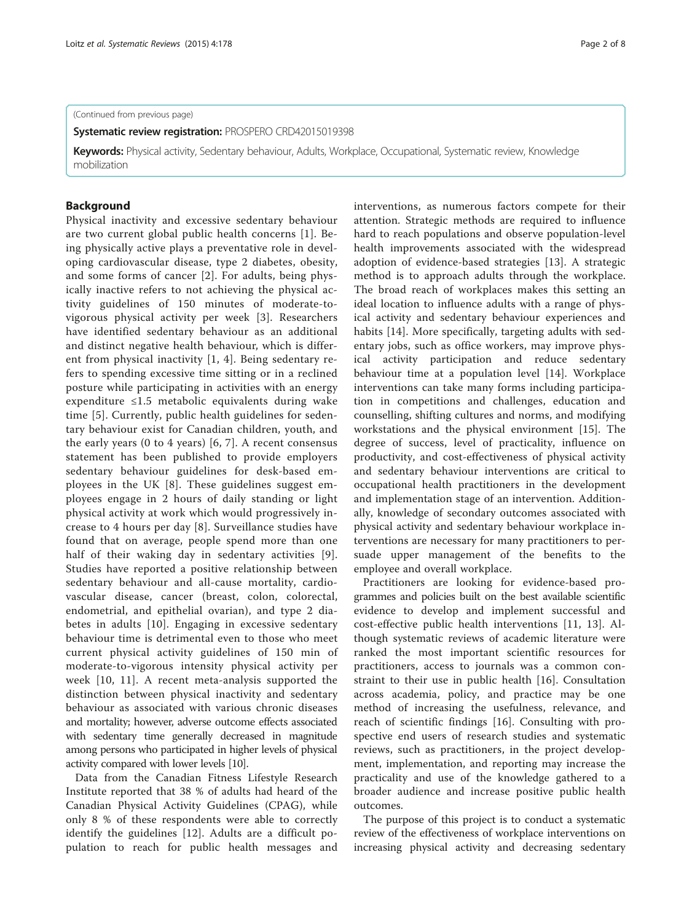#### (Continued from previous page)

Systematic review registration: PROSPERO [CRD42015019398](http://www.crd.york.ac.uk/PROSPERO)

Keywords: Physical activity, Sedentary behaviour, Adults, Workplace, Occupational, Systematic review, Knowledge mobilization

#### Background

Physical inactivity and excessive sedentary behaviour are two current global public health concerns [[1\]](#page-6-0). Being physically active plays a preventative role in developing cardiovascular disease, type 2 diabetes, obesity, and some forms of cancer [\[2\]](#page-6-0). For adults, being physically inactive refers to not achieving the physical activity guidelines of 150 minutes of moderate-tovigorous physical activity per week [[3](#page-6-0)]. Researchers have identified sedentary behaviour as an additional and distinct negative health behaviour, which is different from physical inactivity [[1, 4\]](#page-6-0). Being sedentary refers to spending excessive time sitting or in a reclined posture while participating in activities with an energy expenditure ≤1.5 metabolic equivalents during wake time [\[5](#page-7-0)]. Currently, public health guidelines for sedentary behaviour exist for Canadian children, youth, and the early years (0 to 4 years) [[6, 7](#page-7-0)]. A recent consensus statement has been published to provide employers sedentary behaviour guidelines for desk-based employees in the UK [[8\]](#page-7-0). These guidelines suggest employees engage in 2 hours of daily standing or light physical activity at work which would progressively increase to 4 hours per day [\[8\]](#page-7-0). Surveillance studies have found that on average, people spend more than one half of their waking day in sedentary activities [[9](#page-7-0)]. Studies have reported a positive relationship between sedentary behaviour and all-cause mortality, cardiovascular disease, cancer (breast, colon, colorectal, endometrial, and epithelial ovarian), and type 2 diabetes in adults [[10\]](#page-7-0). Engaging in excessive sedentary behaviour time is detrimental even to those who meet current physical activity guidelines of 150 min of moderate-to-vigorous intensity physical activity per week [[10](#page-7-0), [11\]](#page-7-0). A recent meta-analysis supported the distinction between physical inactivity and sedentary behaviour as associated with various chronic diseases and mortality; however, adverse outcome effects associated with sedentary time generally decreased in magnitude among persons who participated in higher levels of physical activity compared with lower levels [[10\]](#page-7-0).

Data from the Canadian Fitness Lifestyle Research Institute reported that 38 % of adults had heard of the Canadian Physical Activity Guidelines (CPAG), while only 8 % of these respondents were able to correctly identify the guidelines [\[12](#page-7-0)]. Adults are a difficult population to reach for public health messages and

interventions, as numerous factors compete for their attention. Strategic methods are required to influence hard to reach populations and observe population-level health improvements associated with the widespread adoption of evidence-based strategies [\[13](#page-7-0)]. A strategic method is to approach adults through the workplace. The broad reach of workplaces makes this setting an ideal location to influence adults with a range of physical activity and sedentary behaviour experiences and habits [\[14](#page-7-0)]. More specifically, targeting adults with sedentary jobs, such as office workers, may improve physical activity participation and reduce sedentary behaviour time at a population level [[14\]](#page-7-0). Workplace interventions can take many forms including participation in competitions and challenges, education and counselling, shifting cultures and norms, and modifying workstations and the physical environment [[15\]](#page-7-0). The degree of success, level of practicality, influence on productivity, and cost-effectiveness of physical activity and sedentary behaviour interventions are critical to occupational health practitioners in the development and implementation stage of an intervention. Additionally, knowledge of secondary outcomes associated with physical activity and sedentary behaviour workplace interventions are necessary for many practitioners to persuade upper management of the benefits to the employee and overall workplace.

Practitioners are looking for evidence-based programmes and policies built on the best available scientific evidence to develop and implement successful and cost-effective public health interventions [\[11](#page-7-0), [13](#page-7-0)]. Although systematic reviews of academic literature were ranked the most important scientific resources for practitioners, access to journals was a common constraint to their use in public health [\[16](#page-7-0)]. Consultation across academia, policy, and practice may be one method of increasing the usefulness, relevance, and reach of scientific findings [[16](#page-7-0)]. Consulting with prospective end users of research studies and systematic reviews, such as practitioners, in the project development, implementation, and reporting may increase the practicality and use of the knowledge gathered to a broader audience and increase positive public health outcomes.

The purpose of this project is to conduct a systematic review of the effectiveness of workplace interventions on increasing physical activity and decreasing sedentary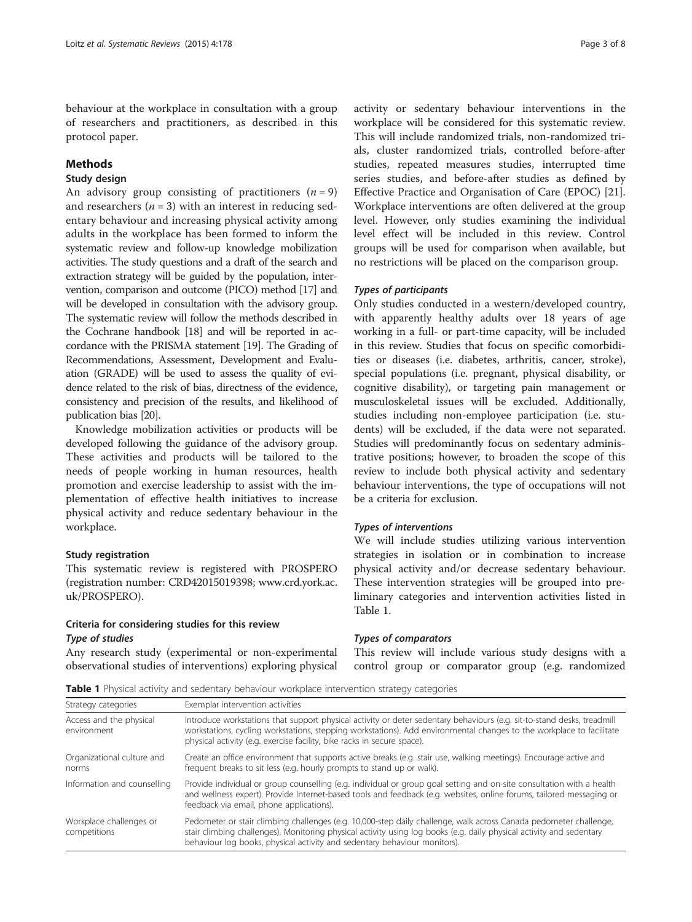<span id="page-2-0"></span>behaviour at the workplace in consultation with a group of researchers and practitioners, as described in this protocol paper.

### Methods

#### Study design

An advisory group consisting of practitioners  $(n = 9)$ and researchers ( $n = 3$ ) with an interest in reducing sedentary behaviour and increasing physical activity among adults in the workplace has been formed to inform the systematic review and follow-up knowledge mobilization activities. The study questions and a draft of the search and extraction strategy will be guided by the population, intervention, comparison and outcome (PICO) method [[17](#page-7-0)] and will be developed in consultation with the advisory group. The systematic review will follow the methods described in the Cochrane handbook [\[18](#page-7-0)] and will be reported in accordance with the PRISMA statement [\[19\]](#page-7-0). The Grading of Recommendations, Assessment, Development and Evaluation (GRADE) will be used to assess the quality of evidence related to the risk of bias, directness of the evidence, consistency and precision of the results, and likelihood of publication bias [\[20](#page-7-0)].

Knowledge mobilization activities or products will be developed following the guidance of the advisory group. These activities and products will be tailored to the needs of people working in human resources, health promotion and exercise leadership to assist with the implementation of effective health initiatives to increase physical activity and reduce sedentary behaviour in the workplace.

#### Study registration

This systematic review is registered with PROSPERO (registration number: CRD42015019398; [www.crd.york.ac.](http://www.crd.york.ac.uk/PROSPERO) [uk/PROSPERO](http://www.crd.york.ac.uk/PROSPERO)).

#### Criteria for considering studies for this review

#### Type of studies

Any research study (experimental or non-experimental observational studies of interventions) exploring physical activity or sedentary behaviour interventions in the workplace will be considered for this systematic review. This will include randomized trials, non-randomized trials, cluster randomized trials, controlled before-after studies, repeated measures studies, interrupted time series studies, and before-after studies as defined by Effective Practice and Organisation of Care (EPOC) [\[21](#page-7-0)]. Workplace interventions are often delivered at the group level. However, only studies examining the individual level effect will be included in this review. Control groups will be used for comparison when available, but no restrictions will be placed on the comparison group.

#### Types of participants

Only studies conducted in a western/developed country, with apparently healthy adults over 18 years of age working in a full- or part-time capacity, will be included in this review. Studies that focus on specific comorbidities or diseases (i.e. diabetes, arthritis, cancer, stroke), special populations (i.e. pregnant, physical disability, or cognitive disability), or targeting pain management or musculoskeletal issues will be excluded. Additionally, studies including non-employee participation (i.e. students) will be excluded, if the data were not separated. Studies will predominantly focus on sedentary administrative positions; however, to broaden the scope of this review to include both physical activity and sedentary behaviour interventions, the type of occupations will not be a criteria for exclusion.

#### Types of interventions

We will include studies utilizing various intervention strategies in isolation or in combination to increase physical activity and/or decrease sedentary behaviour. These intervention strategies will be grouped into preliminary categories and intervention activities listed in Table 1.

#### Types of comparators

This review will include various study designs with a control group or comparator group (e.g. randomized

Table 1 Physical activity and sedentary behaviour workplace intervention strategy categories

| Strategy categories                     | Exemplar intervention activities                                                                                                                                                                                                                                                                                           |
|-----------------------------------------|----------------------------------------------------------------------------------------------------------------------------------------------------------------------------------------------------------------------------------------------------------------------------------------------------------------------------|
| Access and the physical<br>environment  | Introduce workstations that support physical activity or deter sedentary behaviours (e.g. sit-to-stand desks, treadmill<br>workstations, cycling workstations, stepping workstations). Add environmental changes to the workplace to facilitate<br>physical activity (e.g. exercise facility, bike racks in secure space). |
| Organizational culture and<br>norms     | Create an office environment that supports active breaks (e.g. stair use, walking meetings). Encourage active and<br>frequent breaks to sit less (e.g. hourly prompts to stand up or walk).                                                                                                                                |
| Information and counselling             | Provide individual or group counselling (e.g. individual or group goal setting and on-site consultation with a health<br>and wellness expert). Provide Internet-based tools and feedback (e.g. websites, online forums, tailored messaging or<br>feedback via email, phone applications).                                  |
| Workplace challenges or<br>competitions | Pedometer or stair climbing challenges (e.g. 10,000-step daily challenge, walk across Canada pedometer challenge,<br>stair climbing challenges). Monitoring physical activity using log books (e.g. daily physical activity and sedentary<br>behaviour log books, physical activity and sedentary behaviour monitors).     |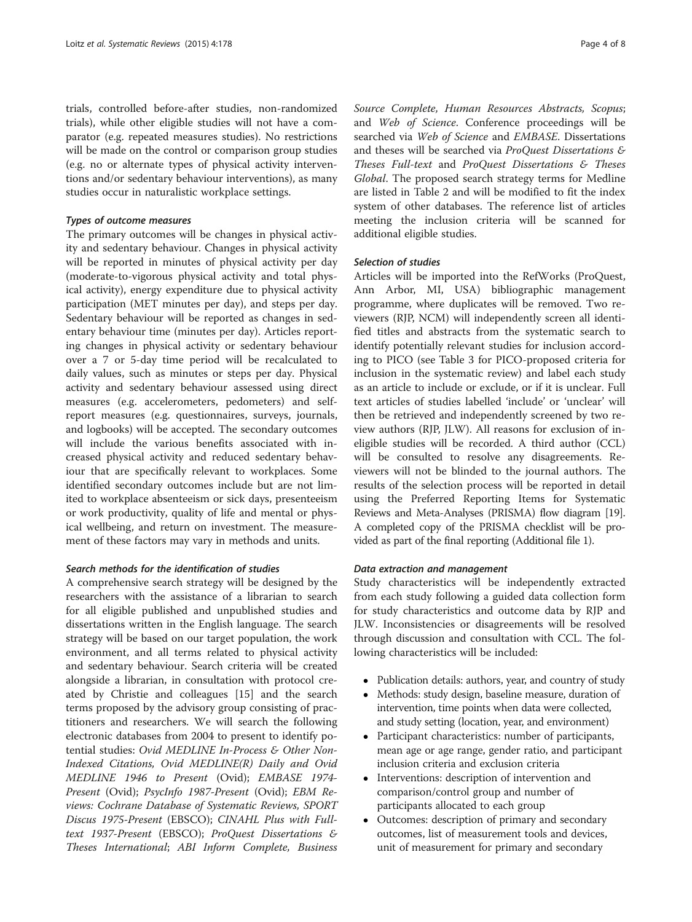trials, controlled before-after studies, non-randomized trials), while other eligible studies will not have a comparator (e.g. repeated measures studies). No restrictions will be made on the control or comparison group studies (e.g. no or alternate types of physical activity interventions and/or sedentary behaviour interventions), as many studies occur in naturalistic workplace settings.

#### Types of outcome measures

The primary outcomes will be changes in physical activity and sedentary behaviour. Changes in physical activity will be reported in minutes of physical activity per day (moderate-to-vigorous physical activity and total physical activity), energy expenditure due to physical activity participation (MET minutes per day), and steps per day. Sedentary behaviour will be reported as changes in sedentary behaviour time (minutes per day). Articles reporting changes in physical activity or sedentary behaviour over a 7 or 5-day time period will be recalculated to daily values, such as minutes or steps per day. Physical activity and sedentary behaviour assessed using direct measures (e.g. accelerometers, pedometers) and selfreport measures (e.g. questionnaires, surveys, journals, and logbooks) will be accepted. The secondary outcomes will include the various benefits associated with increased physical activity and reduced sedentary behaviour that are specifically relevant to workplaces. Some identified secondary outcomes include but are not limited to workplace absenteeism or sick days, presenteeism or work productivity, quality of life and mental or physical wellbeing, and return on investment. The measurement of these factors may vary in methods and units.

#### Search methods for the identification of studies

A comprehensive search strategy will be designed by the researchers with the assistance of a librarian to search for all eligible published and unpublished studies and dissertations written in the English language. The search strategy will be based on our target population, the work environment, and all terms related to physical activity and sedentary behaviour. Search criteria will be created alongside a librarian, in consultation with protocol created by Christie and colleagues [[15](#page-7-0)] and the search terms proposed by the advisory group consisting of practitioners and researchers. We will search the following electronic databases from 2004 to present to identify potential studies: Ovid MEDLINE In-Process & Other Non-Indexed Citations, Ovid MEDLINE(R) Daily and Ovid MEDLINE 1946 to Present (Ovid); EMBASE 1974- Present (Ovid); PsycInfo 1987-Present (Ovid); EBM Reviews: Cochrane Database of Systematic Reviews, SPORT Discus 1975-Present (EBSCO); CINAHL Plus with Fulltext 1937-Present (EBSCO); ProQuest Dissertations & Theses International; ABI Inform Complete, Business Source Complete, Human Resources Abstracts, Scopus; and Web of Science. Conference proceedings will be searched via Web of Science and EMBASE. Dissertations and theses will be searched via ProQuest Dissertations & Theses Full-text and ProQuest Dissertations & Theses Global. The proposed search strategy terms for Medline are listed in Table [2](#page-4-0) and will be modified to fit the index system of other databases. The reference list of articles meeting the inclusion criteria will be scanned for additional eligible studies.

#### Selection of studies

Articles will be imported into the RefWorks (ProQuest, Ann Arbor, MI, USA) bibliographic management programme, where duplicates will be removed. Two reviewers (RJP, NCM) will independently screen all identified titles and abstracts from the systematic search to identify potentially relevant studies for inclusion according to PICO (see Table [3](#page-5-0) for PICO-proposed criteria for inclusion in the systematic review) and label each study as an article to include or exclude, or if it is unclear. Full text articles of studies labelled 'include' or 'unclear' will then be retrieved and independently screened by two review authors (RJP, JLW). All reasons for exclusion of ineligible studies will be recorded. A third author (CCL) will be consulted to resolve any disagreements. Reviewers will not be blinded to the journal authors. The results of the selection process will be reported in detail using the Preferred Reporting Items for Systematic Reviews and Meta-Analyses (PRISMA) flow diagram [\[19](#page-7-0)]. A completed copy of the PRISMA checklist will be provided as part of the final reporting (Additional file [1\)](#page-6-0).

#### Data extraction and management

Study characteristics will be independently extracted from each study following a guided data collection form for study characteristics and outcome data by RJP and JLW. Inconsistencies or disagreements will be resolved through discussion and consultation with CCL. The following characteristics will be included:

- Publication details: authors, year, and country of study
- Methods: study design, baseline measure, duration of intervention, time points when data were collected, and study setting (location, year, and environment)
- Participant characteristics: number of participants, mean age or age range, gender ratio, and participant inclusion criteria and exclusion criteria
- Interventions: description of intervention and comparison/control group and number of participants allocated to each group
- Outcomes: description of primary and secondary outcomes, list of measurement tools and devices, unit of measurement for primary and secondary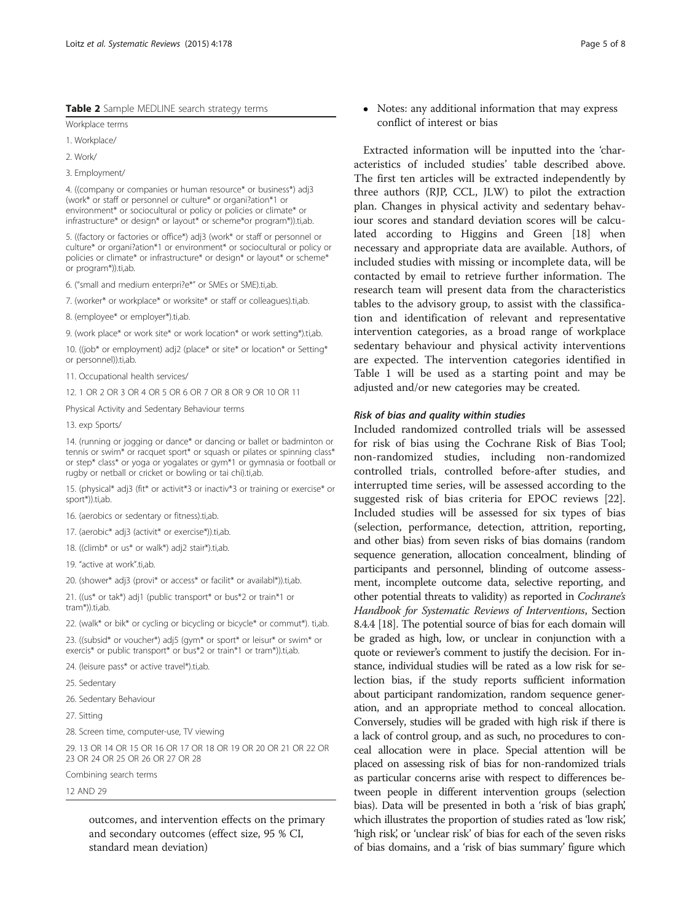<span id="page-4-0"></span>

| Table 2 Sample MEDLINE search strategy terms |  |  |
|----------------------------------------------|--|--|
|----------------------------------------------|--|--|

Workplace terms

1. Workplace/

2. Work/

3. Employment/

4. ((company or companies or human resource\* or business\*) adj3 (work\* or staff or personnel or culture\* or organi?ation\*1 or environment\* or sociocultural or policy or policies or climate\* or infrastructure\* or design\* or layout\* or scheme\*or program\*)).ti,ab.

5. ((factory or factories or office\*) adj3 (work\* or staff or personnel or culture\* or organi?ation\*1 or environment\* or sociocultural or policy or policies or climate\* or infrastructure\* or design\* or layout\* or scheme\* or program\*)).ti,ab.

6. ("small and medium enterpri?e\*" or SMEs or SME).ti,ab.

7. (worker\* or workplace\* or worksite\* or staff or colleagues).ti,ab.

8. (employee\* or employer\*).ti,ab.

9. (work place\* or work site\* or work location\* or work setting\*).ti,ab.

10. ((job\* or employment) adj2 (place\* or site\* or location\* or Setting\* or personnel)).ti,ab.

11. Occupational health services/

12. 1 OR 2 OR 3 OR 4 OR 5 OR 6 OR 7 OR 8 OR 9 OR 10 OR 11

Physical Activity and Sedentary Behaviour terms

13. exp Sports/

14. (running or jogging or dance\* or dancing or ballet or badminton or tennis or swim\* or racquet sport\* or squash or pilates or spinning class\* or step\* class\* or yoga or yogalates or gym\*1 or gymnasia or football or rugby or netball or cricket or bowling or tai chi).ti,ab.

15. (physical\* adj3 (fit\* or activit\*3 or inactiv\*3 or training or exercise\* or sport\*)).ti,ab.

16. (aerobics or sedentary or fitness).ti,ab.

- 17. (aerobic\* adj3 (activit\* or exercise\*)).ti,ab.
- 18. ((climb\* or us\* or walk\*) adj2 stair\*).ti,ab.
- 19. "active at work".ti,ab.

20. (shower\* adj3 (provi\* or access\* or facilit\* or availabl\*)).ti,ab.

21. ((us\* or tak\*) adj1 (public transport\* or bus\*2 or train\*1 or tram\*)).ti,ab.

22. (walk\* or bik\* or cycling or bicycling or bicycle\* or commut\*). ti,ab.

23. ((subsid\* or voucher\*) adj5 (gym\* or sport\* or leisur\* or swim\* or exercis\* or public transport\* or bus\*2 or train\*1 or tram\*)).ti,ab.

24. (leisure pass\* or active travel\*).ti,ab.

25. Sedentary

26. Sedentary Behaviour

27. Sitting

28. Screen time, computer-use, TV viewing

29. 13 OR 14 OR 15 OR 16 OR 17 OR 18 OR 19 OR 20 OR 21 OR 22 OR 23 OR 24 OR 25 OR 26 OR 27 OR 28

Combining search terms

12 AND 29

outcomes, and intervention effects on the primary and secondary outcomes (effect size, 95 % CI, standard mean deviation)

 Notes: any additional information that may express conflict of interest or bias

Extracted information will be inputted into the 'characteristics of included studies' table described above. The first ten articles will be extracted independently by three authors (RJP, CCL, JLW) to pilot the extraction plan. Changes in physical activity and sedentary behaviour scores and standard deviation scores will be calculated according to Higgins and Green [[18](#page-7-0)] when necessary and appropriate data are available. Authors, of included studies with missing or incomplete data, will be contacted by email to retrieve further information. The research team will present data from the characteristics tables to the advisory group, to assist with the classification and identification of relevant and representative intervention categories, as a broad range of workplace sedentary behaviour and physical activity interventions are expected. The intervention categories identified in Table [1](#page-2-0) will be used as a starting point and may be adjusted and/or new categories may be created.

#### Risk of bias and quality within studies

Included randomized controlled trials will be assessed for risk of bias using the Cochrane Risk of Bias Tool; non-randomized studies, including non-randomized controlled trials, controlled before-after studies, and interrupted time series, will be assessed according to the suggested risk of bias criteria for EPOC reviews [\[22](#page-7-0)]. Included studies will be assessed for six types of bias (selection, performance, detection, attrition, reporting, and other bias) from seven risks of bias domains (random sequence generation, allocation concealment, blinding of participants and personnel, blinding of outcome assessment, incomplete outcome data, selective reporting, and other potential threats to validity) as reported in Cochrane's Handbook for Systematic Reviews of Interventions, Section 8.4.4 [[18\]](#page-7-0). The potential source of bias for each domain will be graded as high, low, or unclear in conjunction with a quote or reviewer's comment to justify the decision. For instance, individual studies will be rated as a low risk for selection bias, if the study reports sufficient information about participant randomization, random sequence generation, and an appropriate method to conceal allocation. Conversely, studies will be graded with high risk if there is a lack of control group, and as such, no procedures to conceal allocation were in place. Special attention will be placed on assessing risk of bias for non-randomized trials as particular concerns arise with respect to differences between people in different intervention groups (selection bias). Data will be presented in both a 'risk of bias graph', which illustrates the proportion of studies rated as 'low risk', 'high risk', or 'unclear risk' of bias for each of the seven risks of bias domains, and a 'risk of bias summary' figure which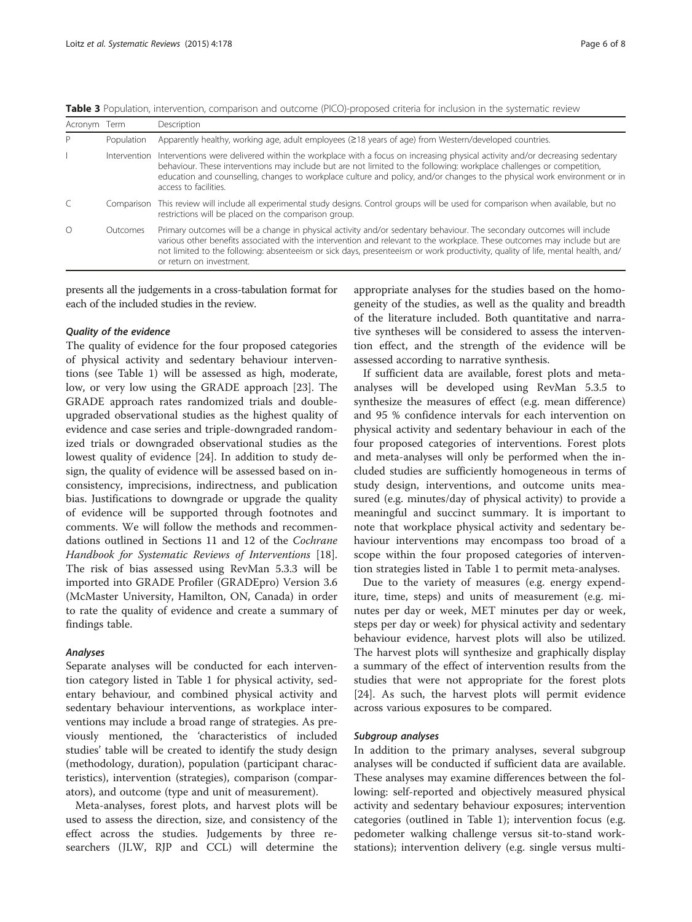<span id="page-5-0"></span>Table 3 Population, intervention, comparison and outcome (PICO)-proposed criteria for inclusion in the systematic review

| Acronym Term |            | Description                                                                                                                                                                                                                                                                                                                                                                                                            |
|--------------|------------|------------------------------------------------------------------------------------------------------------------------------------------------------------------------------------------------------------------------------------------------------------------------------------------------------------------------------------------------------------------------------------------------------------------------|
| P            | Population | Apparently healthy, working age, adult employees ( $\geq$ 18 years of age) from Western/developed countries.                                                                                                                                                                                                                                                                                                           |
|              |            | Intervention Interventions were delivered within the workplace with a focus on increasing physical activity and/or decreasing sedentary<br>behaviour. These interventions may include but are not limited to the following: workplace challenges or competition,<br>education and counselling, changes to workplace culture and policy, and/or changes to the physical work environment or in<br>access to facilities. |
|              |            | Comparison This review will include all experimental study designs. Control groups will be used for comparison when available, but no<br>restrictions will be placed on the comparison group.                                                                                                                                                                                                                          |
| $\bigcirc$   | Outcomes   | Primary outcomes will be a change in physical activity and/or sedentary behaviour. The secondary outcomes will include<br>various other benefits associated with the intervention and relevant to the workplace. These outcomes may include but are<br>not limited to the following: absenteeism or sick days, presenteeism or work productivity, quality of life, mental health, and/<br>or return on investment.     |

presents all the judgements in a cross-tabulation format for each of the included studies in the review.

#### Quality of the evidence

The quality of evidence for the four proposed categories of physical activity and sedentary behaviour interventions (see Table [1\)](#page-2-0) will be assessed as high, moderate, low, or very low using the GRADE approach [\[23](#page-7-0)]. The GRADE approach rates randomized trials and doubleupgraded observational studies as the highest quality of evidence and case series and triple-downgraded randomized trials or downgraded observational studies as the lowest quality of evidence [\[24](#page-7-0)]. In addition to study design, the quality of evidence will be assessed based on inconsistency, imprecisions, indirectness, and publication bias. Justifications to downgrade or upgrade the quality of evidence will be supported through footnotes and comments. We will follow the methods and recommendations outlined in Sections 11 and 12 of the Cochrane Handbook for Systematic Reviews of Interventions [\[18](#page-7-0)]. The risk of bias assessed using RevMan 5.3.3 will be imported into GRADE Profiler (GRADEpro) Version 3.6 (McMaster University, Hamilton, ON, Canada) in order to rate the quality of evidence and create a summary of findings table.

#### Analyses

Separate analyses will be conducted for each intervention category listed in Table [1](#page-2-0) for physical activity, sedentary behaviour, and combined physical activity and sedentary behaviour interventions, as workplace interventions may include a broad range of strategies. As previously mentioned, the 'characteristics of included studies' table will be created to identify the study design (methodology, duration), population (participant characteristics), intervention (strategies), comparison (comparators), and outcome (type and unit of measurement).

Meta-analyses, forest plots, and harvest plots will be used to assess the direction, size, and consistency of the effect across the studies. Judgements by three researchers (JLW, RJP and CCL) will determine the appropriate analyses for the studies based on the homogeneity of the studies, as well as the quality and breadth of the literature included. Both quantitative and narrative syntheses will be considered to assess the intervention effect, and the strength of the evidence will be assessed according to narrative synthesis.

If sufficient data are available, forest plots and metaanalyses will be developed using RevMan 5.3.5 to synthesize the measures of effect (e.g. mean difference) and 95 % confidence intervals for each intervention on physical activity and sedentary behaviour in each of the four proposed categories of interventions. Forest plots and meta-analyses will only be performed when the included studies are sufficiently homogeneous in terms of study design, interventions, and outcome units measured (e.g. minutes/day of physical activity) to provide a meaningful and succinct summary. It is important to note that workplace physical activity and sedentary behaviour interventions may encompass too broad of a scope within the four proposed categories of intervention strategies listed in Table [1](#page-2-0) to permit meta-analyses.

Due to the variety of measures (e.g. energy expenditure, time, steps) and units of measurement (e.g. minutes per day or week, MET minutes per day or week, steps per day or week) for physical activity and sedentary behaviour evidence, harvest plots will also be utilized. The harvest plots will synthesize and graphically display a summary of the effect of intervention results from the studies that were not appropriate for the forest plots [[24\]](#page-7-0). As such, the harvest plots will permit evidence across various exposures to be compared.

#### Subgroup analyses

In addition to the primary analyses, several subgroup analyses will be conducted if sufficient data are available. These analyses may examine differences between the following: self-reported and objectively measured physical activity and sedentary behaviour exposures; intervention categories (outlined in Table [1](#page-2-0)); intervention focus (e.g. pedometer walking challenge versus sit-to-stand workstations); intervention delivery (e.g. single versus multi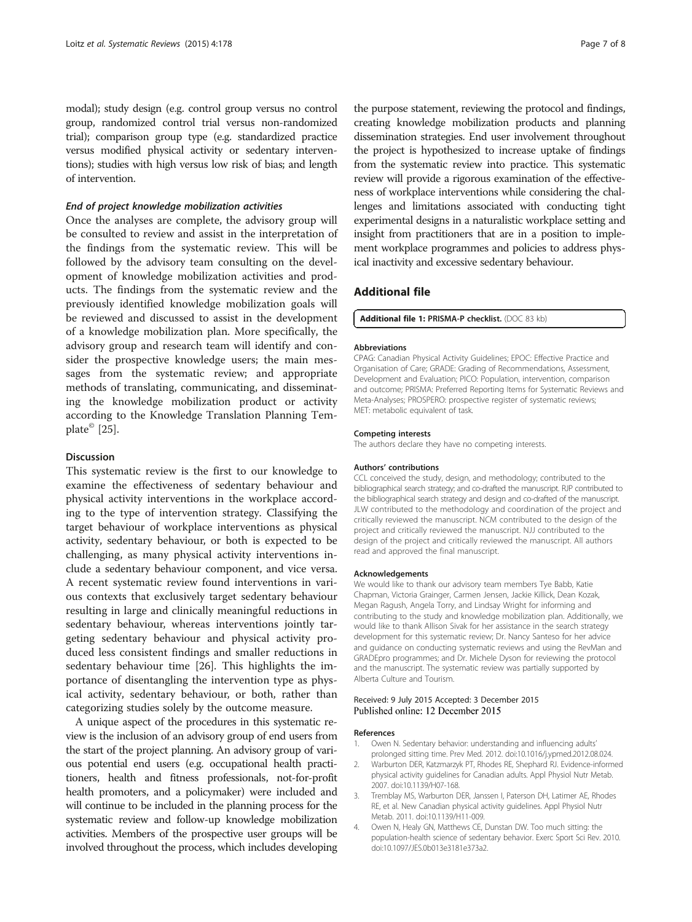<span id="page-6-0"></span>modal); study design (e.g. control group versus no control group, randomized control trial versus non-randomized trial); comparison group type (e.g. standardized practice versus modified physical activity or sedentary interventions); studies with high versus low risk of bias; and length of intervention.

#### End of project knowledge mobilization activities

Once the analyses are complete, the advisory group will be consulted to review and assist in the interpretation of the findings from the systematic review. This will be followed by the advisory team consulting on the development of knowledge mobilization activities and products. The findings from the systematic review and the previously identified knowledge mobilization goals will be reviewed and discussed to assist in the development of a knowledge mobilization plan. More specifically, the advisory group and research team will identify and consider the prospective knowledge users; the main messages from the systematic review; and appropriate methods of translating, communicating, and disseminating the knowledge mobilization product or activity according to the Knowledge Translation Planning Template $^{\circ}$  [[25](#page-7-0)].

#### Discussion

This systematic review is the first to our knowledge to examine the effectiveness of sedentary behaviour and physical activity interventions in the workplace according to the type of intervention strategy. Classifying the target behaviour of workplace interventions as physical activity, sedentary behaviour, or both is expected to be challenging, as many physical activity interventions include a sedentary behaviour component, and vice versa. A recent systematic review found interventions in various contexts that exclusively target sedentary behaviour resulting in large and clinically meaningful reductions in sedentary behaviour, whereas interventions jointly targeting sedentary behaviour and physical activity produced less consistent findings and smaller reductions in sedentary behaviour time [\[26](#page-7-0)]. This highlights the importance of disentangling the intervention type as physical activity, sedentary behaviour, or both, rather than categorizing studies solely by the outcome measure.

A unique aspect of the procedures in this systematic review is the inclusion of an advisory group of end users from the start of the project planning. An advisory group of various potential end users (e.g. occupational health practitioners, health and fitness professionals, not-for-profit health promoters, and a policymaker) were included and will continue to be included in the planning process for the systematic review and follow-up knowledge mobilization activities. Members of the prospective user groups will be involved throughout the process, which includes developing

the purpose statement, reviewing the protocol and findings, creating knowledge mobilization products and planning dissemination strategies. End user involvement throughout the project is hypothesized to increase uptake of findings from the systematic review into practice. This systematic review will provide a rigorous examination of the effectiveness of workplace interventions while considering the challenges and limitations associated with conducting tight experimental designs in a naturalistic workplace setting and insight from practitioners that are in a position to implement workplace programmes and policies to address physical inactivity and excessive sedentary behaviour.

#### Additional file

#### [Additional file 1:](dx.doi.org/10.1186/s13643-015-0166-4) PRISMA-P checklist. (DOC 83 kb)

#### Abbreviations

CPAG: Canadian Physical Activity Guidelines; EPOC: Effective Practice and Organisation of Care; GRADE: Grading of Recommendations, Assessment, Development and Evaluation; PICO: Population, intervention, comparison and outcome; PRISMA: Preferred Reporting Items for Systematic Reviews and Meta-Analyses; PROSPERO: prospective register of systematic reviews; MET: metabolic equivalent of task.

#### Competing interests

The authors declare they have no competing interests.

#### Authors' contributions

CCL conceived the study, design, and methodology; contributed to the bibliographical search strategy; and co-drafted the manuscript. RJP contributed to the bibliographical search strategy and design and co-drafted of the manuscript. JLW contributed to the methodology and coordination of the project and critically reviewed the manuscript. NCM contributed to the design of the project and critically reviewed the manuscript. NJJ contributed to the design of the project and critically reviewed the manuscript. All authors read and approved the final manuscript.

#### Acknowledgements

We would like to thank our advisory team members Tye Babb, Katie Chapman, Victoria Grainger, Carmen Jensen, Jackie Killick, Dean Kozak, Megan Ragush, Angela Torry, and Lindsay Wright for informing and contributing to the study and knowledge mobilization plan. Additionally, we would like to thank Allison Sivak for her assistance in the search strategy development for this systematic review; Dr. Nancy Santeso for her advice and guidance on conducting systematic reviews and using the RevMan and GRADEpro programmes; and Dr. Michele Dyson for reviewing the protocol and the manuscript. The systematic review was partially supported by Alberta Culture and Tourism.

#### Received: 9 July 2015 Accepted: 3 December 2015 Published online: 12 December 2015

#### References

- 1. Owen N. Sedentary behavior: understanding and influencing adults' prolonged sitting time. Prev Med. 2012. doi[:10.1016/j.ypmed.2012.08.024](http://dx.doi.org/10.1016/j.ypmed.2012.08.024).
- 2. Warburton DER, Katzmarzyk PT, Rhodes RE, Shephard RJ. Evidence-informed physical activity guidelines for Canadian adults. Appl Physiol Nutr Metab. 2007. doi[:10.1139/H07-168.](http://dx.doi.org/10.1139/H07-168)
- 3. Tremblay MS, Warburton DER, Janssen I, Paterson DH, Latimer AE, Rhodes RE, et al. New Canadian physical activity guidelines. Appl Physiol Nutr Metab. 2011. doi[:10.1139/H11-009](http://dx.doi.org/10.1139/H11-009).
- 4. Owen N, Healy GN, Matthews CE, Dunstan DW. Too much sitting: the population-health science of sedentary behavior. Exerc Sport Sci Rev. 2010. doi[:10.1097/JES.0b013e3181e373a2](http://dx.doi.org/10.1097/JES.0b013e3181e373a2).